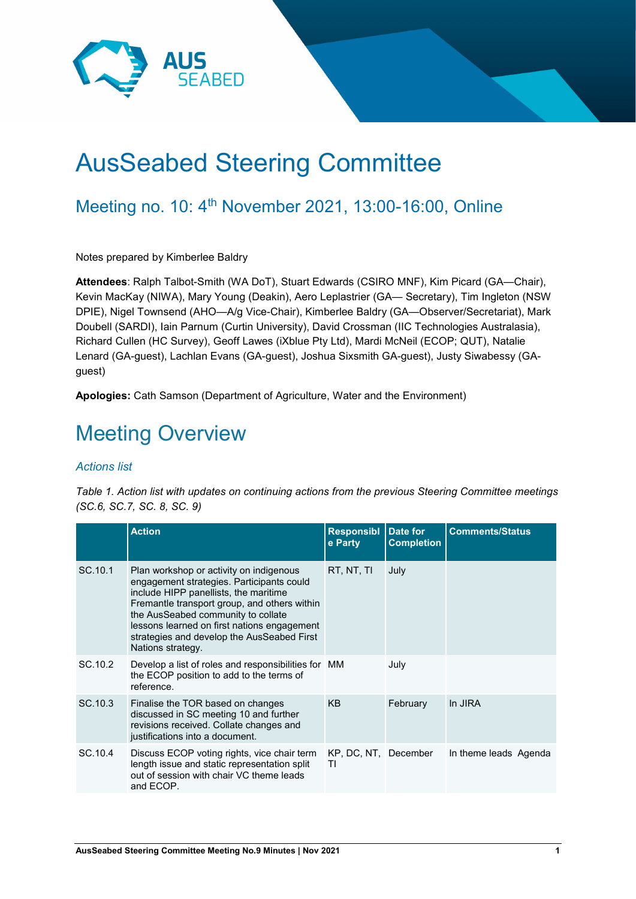

# AusSeabed Steering Committee

### Meeting no. 10: 4<sup>th</sup> November 2021, 13:00-16:00, Online

Notes prepared by Kimberlee Baldry

**Attendees**: Ralph Talbot-Smith (WA DoT), Stuart Edwards (CSIRO MNF), Kim Picard (GA—Chair), Kevin MacKay (NIWA), Mary Young (Deakin), Aero Leplastrier (GA— Secretary), Tim Ingleton (NSW DPIE), Nigel Townsend (AHO—A/g Vice-Chair), Kimberlee Baldry (GA—Observer/Secretariat), Mark Doubell (SARDI), Iain Parnum (Curtin University), David Crossman (IIC Technologies Australasia), Richard Cullen (HC Survey), Geoff Lawes (iXblue Pty Ltd), Mardi McNeil (ECOP; QUT), Natalie Lenard (GA-guest), Lachlan Evans (GA-guest), Joshua Sixsmith GA-guest), Justy Siwabessy (GAguest)

**Apologies:** Cath Samson (Department of Agriculture, Water and the Environment)

## Meeting Overview

#### *Actions list*

*Table 1. Action list with updates on continuing actions from the previous Steering Committee meetings (SC.6, SC.7, SC. 8, SC. 9)*

|         | <b>Action</b>                                                                                                                                                                                                                                                                                                                         | <b>Responsibl</b><br>e Party | Date for<br><b>Completion</b> | <b>Comments/Status</b> |
|---------|---------------------------------------------------------------------------------------------------------------------------------------------------------------------------------------------------------------------------------------------------------------------------------------------------------------------------------------|------------------------------|-------------------------------|------------------------|
| SC.10.1 | Plan workshop or activity on indigenous<br>engagement strategies. Participants could<br>include HIPP panellists, the maritime<br>Fremantle transport group, and others within<br>the AusSeabed community to collate<br>lessons learned on first nations engagement<br>strategies and develop the AusSeabed First<br>Nations strategy. | RT, NT, TI                   | July                          |                        |
| SC.10.2 | Develop a list of roles and responsibilities for MM<br>the ECOP position to add to the terms of<br>reference.                                                                                                                                                                                                                         |                              | July                          |                        |
| SC.10.3 | Finalise the TOR based on changes<br>discussed in SC meeting 10 and further<br>revisions received. Collate changes and<br>justifications into a document.                                                                                                                                                                             | <b>KB</b>                    | February                      | In JIRA                |
| SC.10.4 | Discuss ECOP voting rights, vice chair term<br>length issue and static representation split<br>out of session with chair VC theme leads<br>and ECOP.                                                                                                                                                                                  | KP, DC, NT, December<br>ΤI   |                               | In theme leads Agenda  |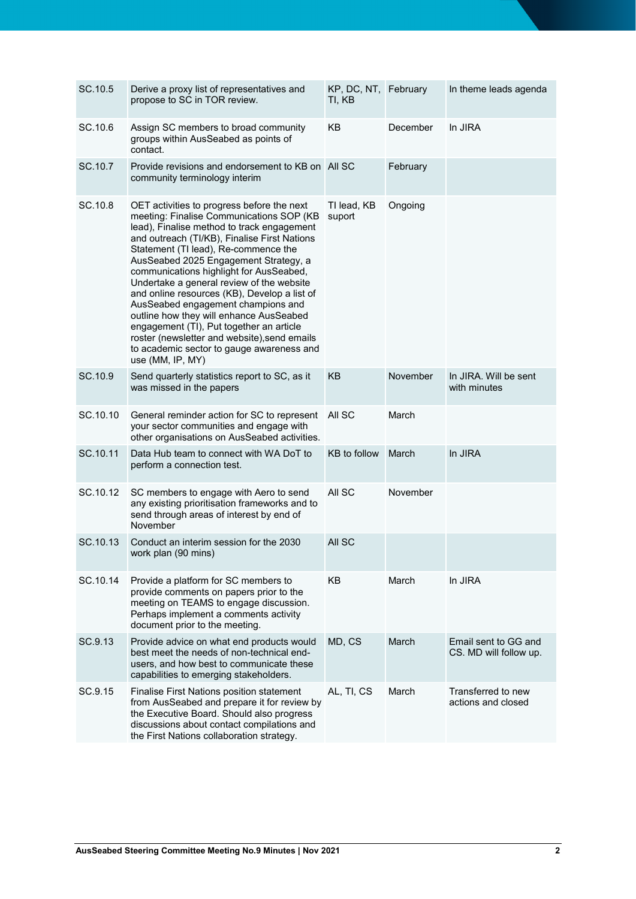| SC.10.5  | Derive a proxy list of representatives and<br>propose to SC in TOR review.                                                                                                                                                                                                                                                                                                                                                                                                                                                                                                                                                                                  | KP, DC, NT, February<br>ti, kb |          | In theme leads agenda                          |
|----------|-------------------------------------------------------------------------------------------------------------------------------------------------------------------------------------------------------------------------------------------------------------------------------------------------------------------------------------------------------------------------------------------------------------------------------------------------------------------------------------------------------------------------------------------------------------------------------------------------------------------------------------------------------------|--------------------------------|----------|------------------------------------------------|
| SC.10.6  | Assign SC members to broad community<br>groups within AusSeabed as points of<br>contact.                                                                                                                                                                                                                                                                                                                                                                                                                                                                                                                                                                    | KB                             | December | In JIRA                                        |
| SC.10.7  | Provide revisions and endorsement to KB on All SC<br>community terminology interim                                                                                                                                                                                                                                                                                                                                                                                                                                                                                                                                                                          |                                | February |                                                |
| SC.10.8  | OET activities to progress before the next<br>meeting: Finalise Communications SOP (KB<br>lead), Finalise method to track engagement<br>and outreach (TI/KB), Finalise First Nations<br>Statement (TI lead), Re-commence the<br>AusSeabed 2025 Engagement Strategy, a<br>communications highlight for AusSeabed,<br>Undertake a general review of the website<br>and online resources (KB), Develop a list of<br>AusSeabed engagement champions and<br>outline how they will enhance AusSeabed<br>engagement (TI), Put together an article<br>roster (newsletter and website), send emails<br>to academic sector to gauge awareness and<br>use (MM, IP, MY) | TI lead, KB<br>suport          | Ongoing  |                                                |
| SC.10.9  | Send quarterly statistics report to SC, as it<br>was missed in the papers                                                                                                                                                                                                                                                                                                                                                                                                                                                                                                                                                                                   | <b>KB</b>                      | November | In JIRA. Will be sent<br>with minutes          |
| SC.10.10 | General reminder action for SC to represent All SC<br>your sector communities and engage with<br>other organisations on AusSeabed activities.                                                                                                                                                                                                                                                                                                                                                                                                                                                                                                               |                                | March    |                                                |
| SC.10.11 | Data Hub team to connect with WA DoT to<br>perform a connection test.                                                                                                                                                                                                                                                                                                                                                                                                                                                                                                                                                                                       | KB to follow                   | March    | In JIRA                                        |
| SC.10.12 | SC members to engage with Aero to send<br>any existing prioritisation frameworks and to<br>send through areas of interest by end of<br>November                                                                                                                                                                                                                                                                                                                                                                                                                                                                                                             | All SC                         | November |                                                |
| SC.10.13 | Conduct an interim session for the 2030<br>work plan (90 mins)                                                                                                                                                                                                                                                                                                                                                                                                                                                                                                                                                                                              | All SC                         |          |                                                |
| SC.10.14 | Provide a platform for SC members to<br>provide comments on papers prior to the<br>meeting on TEAMS to engage discussion.<br>Perhaps implement a comments activity<br>document prior to the meeting.                                                                                                                                                                                                                                                                                                                                                                                                                                                        | KB                             | March    | In JIRA                                        |
| SC.9.13  | Provide advice on what end products would<br>best meet the needs of non-technical end-<br>users, and how best to communicate these<br>capabilities to emerging stakeholders.                                                                                                                                                                                                                                                                                                                                                                                                                                                                                | MD, CS                         | March    | Email sent to GG and<br>CS. MD will follow up. |
| SC.9.15  | Finalise First Nations position statement<br>from AusSeabed and prepare it for review by<br>the Executive Board. Should also progress<br>discussions about contact compilations and<br>the First Nations collaboration strategy.                                                                                                                                                                                                                                                                                                                                                                                                                            | AL, TI, CS                     | March    | Transferred to new<br>actions and closed       |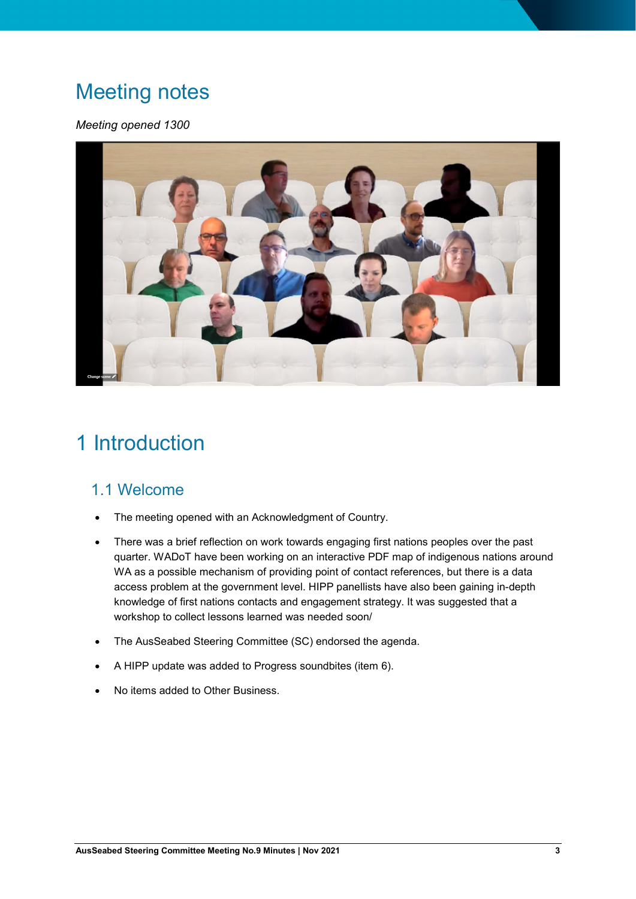### Meeting notes

#### *Meeting opened 1300*



## 1 Introduction

### 1.1 Welcome

- The meeting opened with an Acknowledgment of Country.
- There was a brief reflection on work towards engaging first nations peoples over the past quarter. WADoT have been working on an interactive PDF map of indigenous nations around WA as a possible mechanism of providing point of contact references, but there is a data access problem at the government level. HIPP panellists have also been gaining in-depth knowledge of first nations contacts and engagement strategy. It was suggested that a workshop to collect lessons learned was needed soon/
- The AusSeabed Steering Committee (SC) endorsed the agenda.
- A HIPP update was added to Progress soundbites (item 6).
- No items added to Other Business.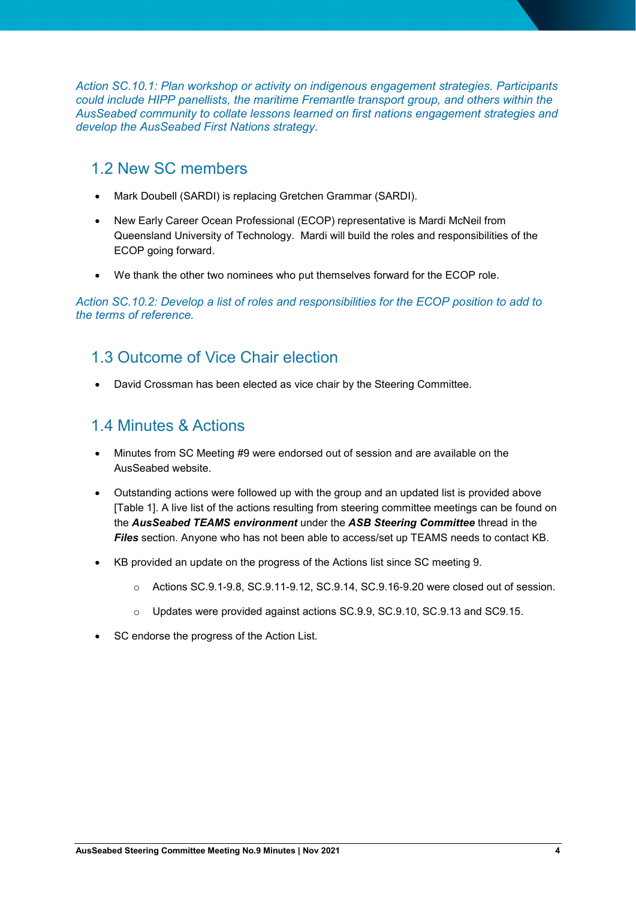*Action SC.10.1: Plan workshop or activity on indigenous engagement strategies. Participants could include HIPP panellists, the maritime Fremantle transport group, and others within the AusSeabed community to collate lessons learned on first nations engagement strategies and develop the AusSeabed First Nations strategy.*

### 1.2 New SC members

- Mark Doubell (SARDI) is replacing Gretchen Grammar (SARDI).
- New Early Career Ocean Professional (ECOP) representative is Mardi McNeil from Queensland University of Technology. Mardi will build the roles and responsibilities of the ECOP going forward.
- We thank the other two nominees who put themselves forward for the ECOP role.

*Action SC.10.2: Develop a list of roles and responsibilities for the ECOP position to add to the terms of reference.*

### 1.3 Outcome of Vice Chair election

• David Crossman has been elected as vice chair by the Steering Committee.

### 1.4 Minutes & Actions

- Minutes from SC Meeting #9 were endorsed out of session and are available on the AusSeabed website.
- Outstanding actions were followed up with the group and an updated list is provided above [Table 1]. A live list of the actions resulting from steering committee meetings can be found on the *AusSeabed TEAMS environment* under the *ASB Steering Committee* thread in the *Files* section. Anyone who has not been able to access/set up TEAMS needs to contact [KB.](mailto:aero.leplastrier@ga.gov.au?subject=Please%20help%20me%20get%20AusSeabed%20GovTEAMS%20set%20up)
- KB provided an update on the progress of the Actions list since SC meeting 9.
	- $\circ$  Actions SC.9.1-9.8, SC.9.11-9.12, SC.9.14, SC.9.16-9.20 were closed out of session.
	- o Updates were provided against actions SC.9.9, SC.9.10, SC.9.13 and SC9.15.
- SC endorse the progress of the Action List.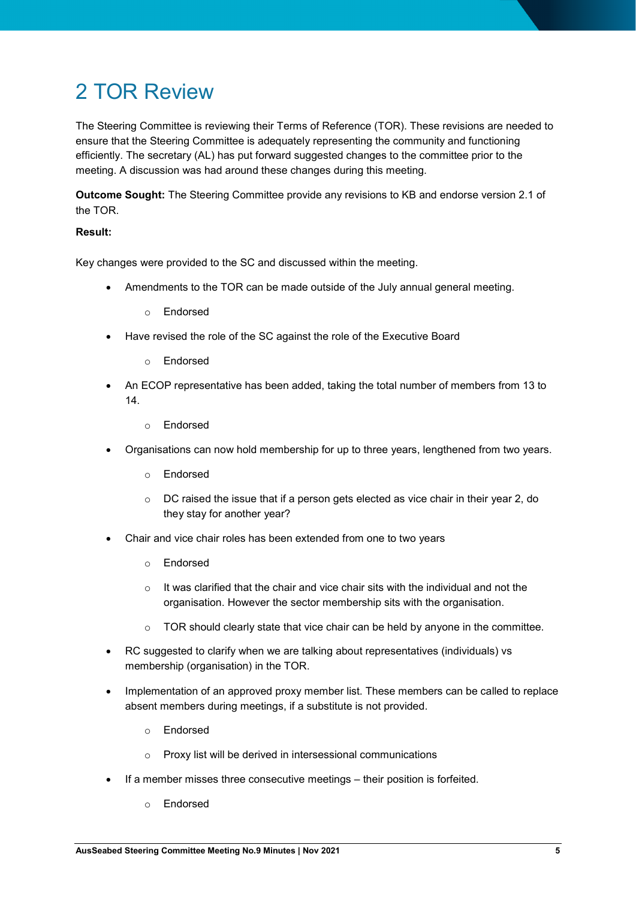## 2 TOR Review

The Steering Committee is reviewing their Terms of Reference (TOR). These revisions are needed to ensure that the Steering Committee is adequately representing the community and functioning efficiently. The secretary (AL) has put forward suggested changes to the committee prior to the meeting. A discussion was had around these changes during this meeting.

**Outcome Sought:** The Steering Committee provide any revisions to KB and endorse version 2.1 of the TOR.

#### **Result:**

Key changes were provided to the SC and discussed within the meeting.

- Amendments to the TOR can be made outside of the July annual general meeting.
	- o Endorsed
- Have revised the role of the SC against the role of the Executive Board
	- o Endorsed
- An ECOP representative has been added, taking the total number of members from 13 to 14.
	- o Endorsed
- Organisations can now hold membership for up to three years, lengthened from two years.
	- o Endorsed
	- $\circ$  DC raised the issue that if a person gets elected as vice chair in their year 2, do they stay for another year?
- Chair and vice chair roles has been extended from one to two years
	- o Endorsed
	- $\circ$  It was clarified that the chair and vice chair sits with the individual and not the organisation. However the sector membership sits with the organisation.
	- o TOR should clearly state that vice chair can be held by anyone in the committee.
- RC suggested to clarify when we are talking about representatives (individuals) vs membership (organisation) in the TOR.
- Implementation of an approved proxy member list. These members can be called to replace absent members during meetings, if a substitute is not provided.
	- o Endorsed
	- o Proxy list will be derived in intersessional communications
- If a member misses three consecutive meetings their position is forfeited.
	- o Endorsed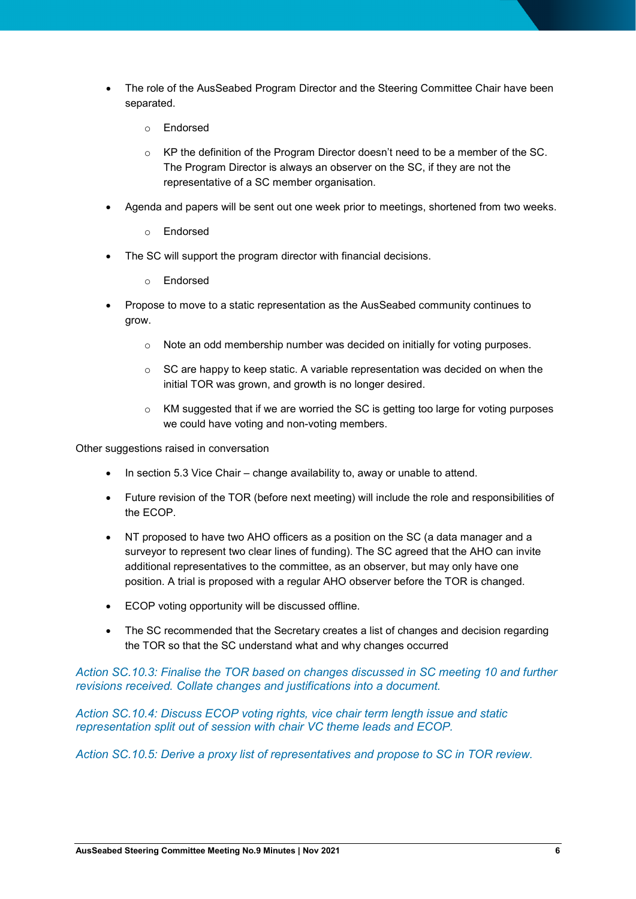- The role of the AusSeabed Program Director and the Steering Committee Chair have been separated.
	- o Endorsed
	- $\circ$  KP the definition of the Program Director doesn't need to be a member of the SC. The Program Director is always an observer on the SC, if they are not the representative of a SC member organisation.
- Agenda and papers will be sent out one week prior to meetings, shortened from two weeks.
	- o Endorsed
- The SC will support the program director with financial decisions.
	- o Endorsed
- Propose to move to a static representation as the AusSeabed community continues to grow.
	- o Note an odd membership number was decided on initially for voting purposes.
	- $\circ$  SC are happy to keep static. A variable representation was decided on when the initial TOR was grown, and growth is no longer desired.
	- $\circ$  KM suggested that if we are worried the SC is getting too large for voting purposes we could have voting and non-voting members.

Other suggestions raised in conversation

- In section 5.3 Vice Chair change availability to, away or unable to attend.
- Future revision of the TOR (before next meeting) will include the role and responsibilities of the ECOP.
- NT proposed to have two AHO officers as a position on the SC (a data manager and a surveyor to represent two clear lines of funding). The SC agreed that the AHO can invite additional representatives to the committee, as an observer, but may only have one position. A trial is proposed with a regular AHO observer before the TOR is changed.
- ECOP voting opportunity will be discussed offline.
- The SC recommended that the Secretary creates a list of changes and decision regarding the TOR so that the SC understand what and why changes occurred

#### *Action SC.10.3: Finalise the TOR based on changes discussed in SC meeting 10 and further revisions received. Collate changes and justifications into a document.*

*Action SC.10.4: Discuss ECOP voting rights, vice chair term length issue and static representation split out of session with chair VC theme leads and ECOP.* 

*Action SC.10.5: Derive a proxy list of representatives and propose to SC in TOR review.*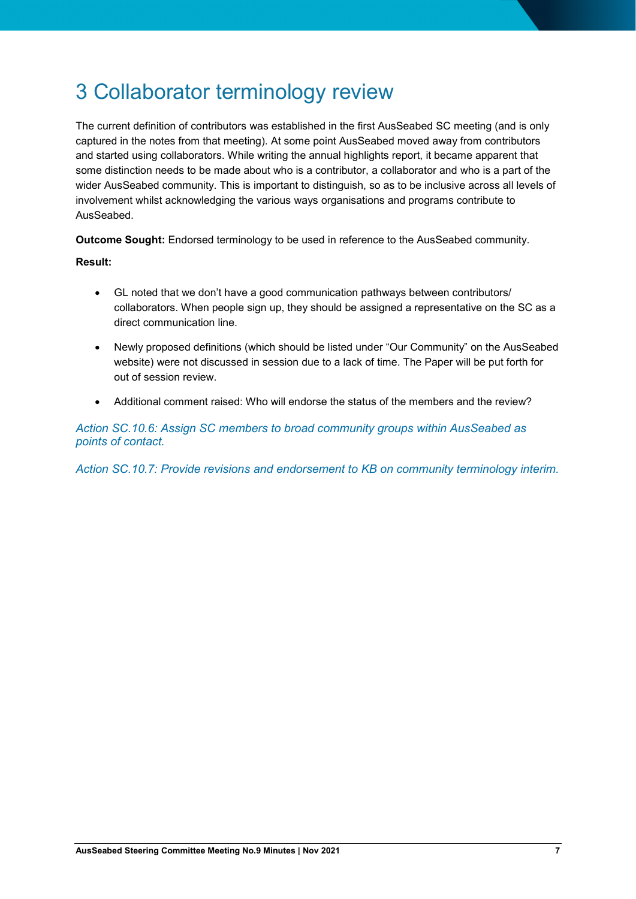## 3 Collaborator terminology review

The current definition of contributors was established in the first AusSeabed SC meeting (and is only captured in the notes from that meeting). At some point AusSeabed moved away from contributors and started using collaborators. While writing the annual highlights report, it became apparent that some distinction needs to be made about who is a contributor, a collaborator and who is a part of the wider AusSeabed community. This is important to distinguish, so as to be inclusive across all levels of involvement whilst acknowledging the various ways organisations and programs contribute to AusSeabed.

**Outcome Sought:** Endorsed terminology to be used in reference to the AusSeabed community.

#### **Result:**

- GL noted that we don't have a good communication pathways between contributors/ collaborators. When people sign up, they should be assigned a representative on the SC as a direct communication line.
- Newly proposed definitions (which should be listed under "Our Community" on the AusSeabed website) were not discussed in session due to a lack of time. The Paper will be put forth for out of session review.
- Additional comment raised: Who will endorse the status of the members and the review?

*Action SC.10.6: Assign SC members to broad community groups within AusSeabed as points of contact.*

*Action SC.10.7: Provide revisions and endorsement to KB on community terminology interim.*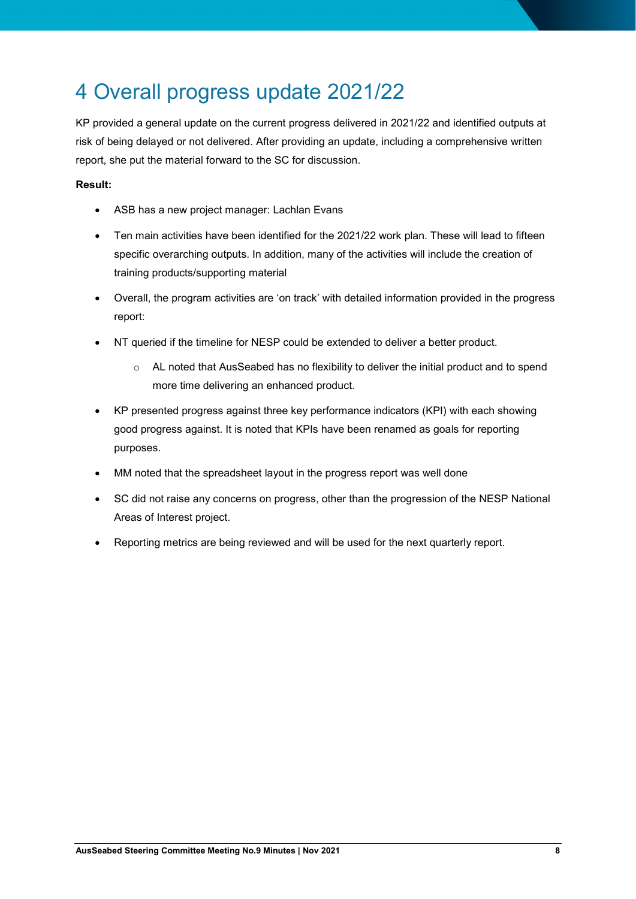## 4 Overall progress update 2021/22

KP provided a general update on the current progress delivered in 2021/22 and identified outputs at risk of being delayed or not delivered. After providing an update, including a comprehensive written report, she put the material forward to the SC for discussion.

#### **Result:**

- ASB has a new project manager: Lachlan Evans
- Ten main activities have been identified for the 2021/22 work plan. These will lead to fifteen specific overarching outputs. In addition, many of the activities will include the creation of training products/supporting material
- Overall, the program activities are 'on track' with detailed information provided in the progress report:
- NT queried if the timeline for NESP could be extended to deliver a better product.
	- o AL noted that AusSeabed has no flexibility to deliver the initial product and to spend more time delivering an enhanced product.
- KP presented progress against three key performance indicators (KPI) with each showing good progress against. It is noted that KPIs have been renamed as goals for reporting purposes.
- MM noted that the spreadsheet layout in the progress report was well done
- SC did not raise any concerns on progress, other than the progression of the NESP National Areas of Interest project.
- Reporting metrics are being reviewed and will be used for the next quarterly report.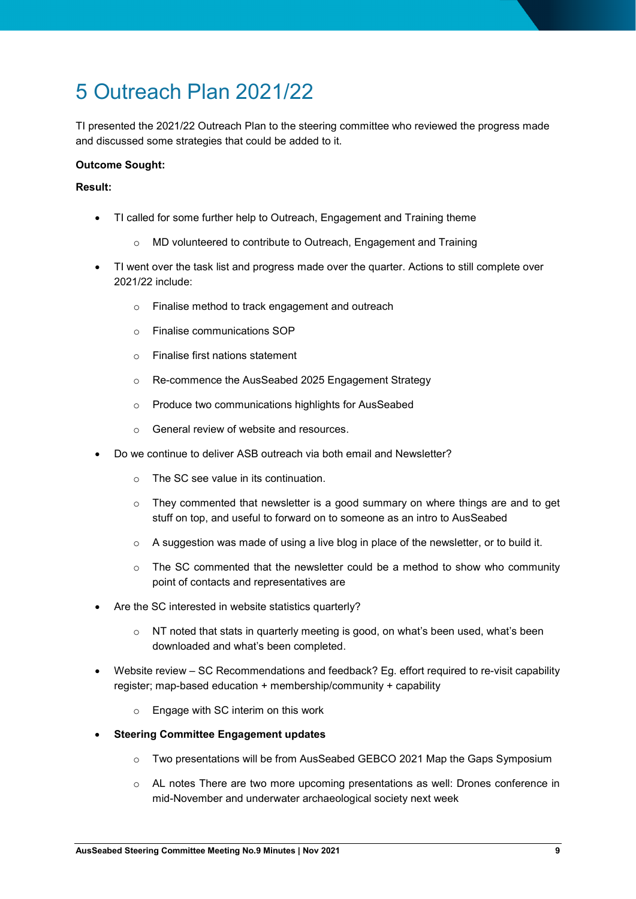## 5 Outreach Plan 2021/22

TI presented the 2021/22 Outreach Plan to the steering committee who reviewed the progress made and discussed some strategies that could be added to it.

#### **Outcome Sought:**

#### **Result:**

- TI called for some further help to Outreach, Engagement and Training theme
	- o MD volunteered to contribute to Outreach, Engagement and Training
- TI went over the task list and progress made over the quarter. Actions to still complete over 2021/22 include:
	- o Finalise method to track engagement and outreach
	- o Finalise communications SOP
	- o Finalise first nations statement
	- o Re-commence the AusSeabed 2025 Engagement Strategy
	- o Produce two communications highlights for AusSeabed
	- o General review of website and resources.
- Do we continue to deliver ASB outreach via both email and Newsletter?
	- o The SC see value in its continuation.
	- $\circ$  They commented that newsletter is a good summary on where things are and to get stuff on top, and useful to forward on to someone as an intro to AusSeabed
	- $\circ$  A suggestion was made of using a live blog in place of the newsletter, or to build it.
	- $\circ$  The SC commented that the newsletter could be a method to show who community point of contacts and representatives are
- Are the SC interested in website statistics quarterly?
	- $\circ$  NT noted that stats in quarterly meeting is good, on what's been used, what's been downloaded and what's been completed.
- Website review SC Recommendations and feedback? Eg. effort required to re-visit capability register; map-based education + membership/community + capability
	- o Engage with SC interim on this work
- **Steering Committee Engagement updates**
	- o Two presentations will be from AusSeabed GEBCO 2021 Map the Gaps Symposium
	- o AL notes There are two more upcoming presentations as well: Drones conference in mid-November and underwater archaeological society next week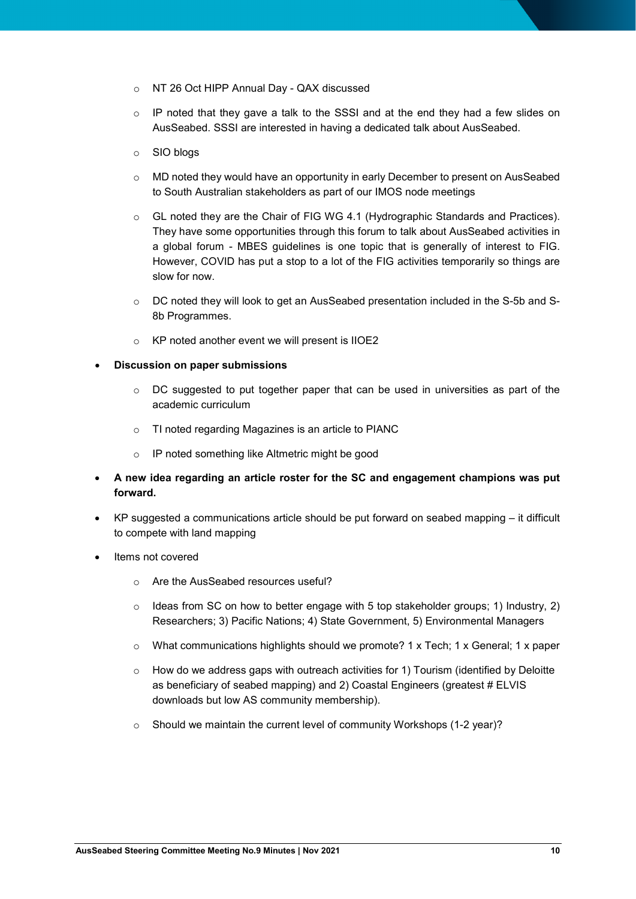- o NT 26 Oct HIPP Annual Day QAX discussed
- $\circ$  IP noted that they gave a talk to the SSSI and at the end they had a few slides on AusSeabed. SSSI are interested in having a dedicated talk about AusSeabed.
- o SIO blogs
- o MD noted they would have an opportunity in early December to present on AusSeabed to South Australian stakeholders as part of our IMOS node meetings
- o GL noted they are the Chair of FIG WG 4.1 (Hydrographic Standards and Practices). They have some opportunities through this forum to talk about AusSeabed activities in a global forum - MBES guidelines is one topic that is generally of interest to FIG. However, COVID has put a stop to a lot of the FIG activities temporarily so things are slow for now.
- o DC noted they will look to get an AusSeabed presentation included in the S-5b and S-8b Programmes.
- o KP noted another event we will present is IIOE2
- **Discussion on paper submissions**
	- $\circ$  DC suggested to put together paper that can be used in universities as part of the academic curriculum
	- o TI noted regarding Magazines is an article to PIANC
	- o IP noted something like Altmetric might be good
- **A new idea regarding an article roster for the SC and engagement champions was put forward.**
- KP suggested a communications article should be put forward on seabed mapping it difficult to compete with land mapping
- Items not covered
	- o Are the AusSeabed resources useful?
	- $\circ$  Ideas from SC on how to better engage with 5 top stakeholder groups; 1) Industry, 2) Researchers; 3) Pacific Nations; 4) State Government, 5) Environmental Managers
	- $\circ$  What communications highlights should we promote? 1 x Tech; 1 x General; 1 x paper
	- o How do we address gaps with outreach activities for 1) Tourism (identified by Deloitte as beneficiary of seabed mapping) and 2) Coastal Engineers (greatest # ELVIS downloads but low AS community membership).
	- o Should we maintain the current level of community Workshops (1-2 year)?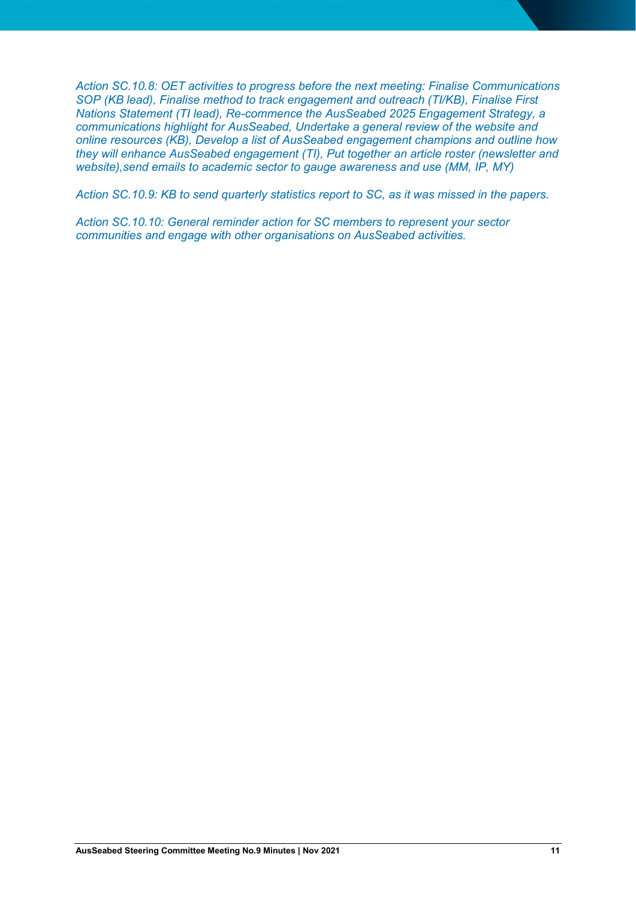*Action SC.10.8: OET activities to progress before the next meeting: Finalise Communications SOP (KB lead), Finalise method to track engagement and outreach (TI/KB), Finalise First Nations Statement (TI lead), Re-commence the AusSeabed 2025 Engagement Strategy, a communications highlight for AusSeabed, Undertake a general review of the website and online resources (KB), Develop a list of AusSeabed engagement champions and outline how they will enhance AusSeabed engagement (TI), Put together an article roster (newsletter and website),send emails to academic sector to gauge awareness and use (MM, IP, MY)*

*Action SC.10.9: KB to send quarterly statistics report to SC, as it was missed in the papers.*

*Action SC.10.10: General reminder action for SC members to represent your sector communities and engage with other organisations on AusSeabed activities.*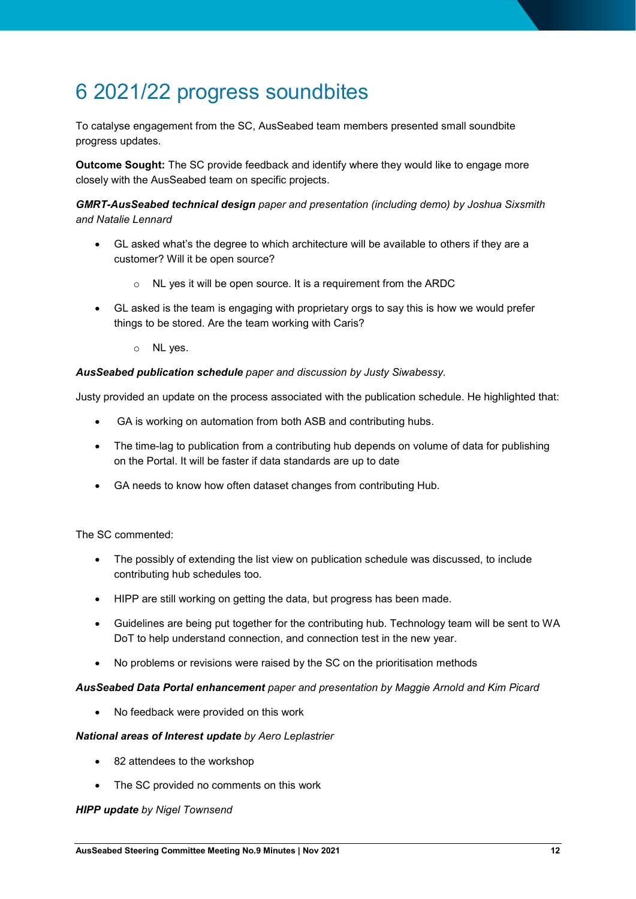## 6 2021/22 progress soundbites

To catalyse engagement from the SC, AusSeabed team members presented small soundbite progress updates.

**Outcome Sought:** The SC provide feedback and identify where they would like to engage more closely with the AusSeabed team on specific projects.

*GMRT-AusSeabed technical design paper and presentation (including demo) by Joshua Sixsmith and Natalie Lennard*

- GL asked what's the degree to which architecture will be available to others if they are a customer? Will it be open source?
	- o NL yes it will be open source. It is a requirement from the ARDC
- GL asked is the team is engaging with proprietary orgs to say this is how we would prefer things to be stored. Are the team working with Caris?
	- o NL yes.

#### *AusSeabed publication schedule paper and discussion by Justy Siwabessy.*

Justy provided an update on the process associated with the publication schedule. He highlighted that:

- GA is working on automation from both ASB and contributing hubs.
- The time-lag to publication from a contributing hub depends on volume of data for publishing on the Portal. It will be faster if data standards are up to date
- GA needs to know how often dataset changes from contributing Hub.

The SC commented:

- The possibly of extending the list view on publication schedule was discussed, to include contributing hub schedules too.
- HIPP are still working on getting the data, but progress has been made.
- Guidelines are being put together for the contributing hub. Technology team will be sent to WA DoT to help understand connection, and connection test in the new year.
- No problems or revisions were raised by the SC on the prioritisation methods

#### *AusSeabed Data Portal enhancement paper and presentation by Maggie Arnold and Kim Picard*

• No feedback were provided on this work

#### *National areas of Interest update by Aero Leplastrier*

- 82 attendees to the workshop
- The SC provided no comments on this work

#### *HIPP update by Nigel Townsend*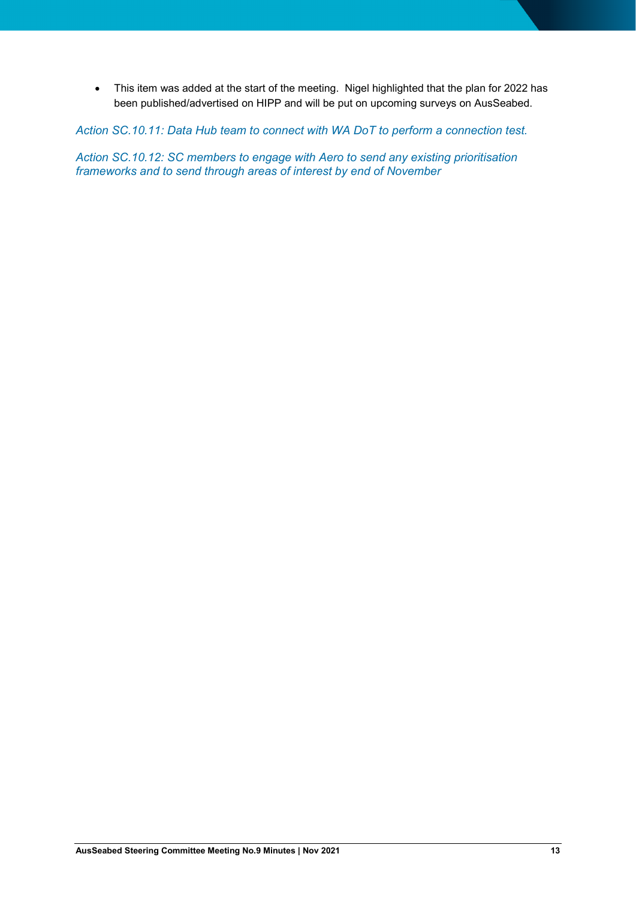• This item was added at the start of the meeting. Nigel highlighted that the plan for 2022 has been published/advertised on HIPP and will be put on upcoming surveys on AusSeabed.

*Action SC.10.11: Data Hub team to connect with WA DoT to perform a connection test.*

*Action SC.10.12: SC members to engage with Aero to send any existing prioritisation frameworks and to send through areas of interest by end of November*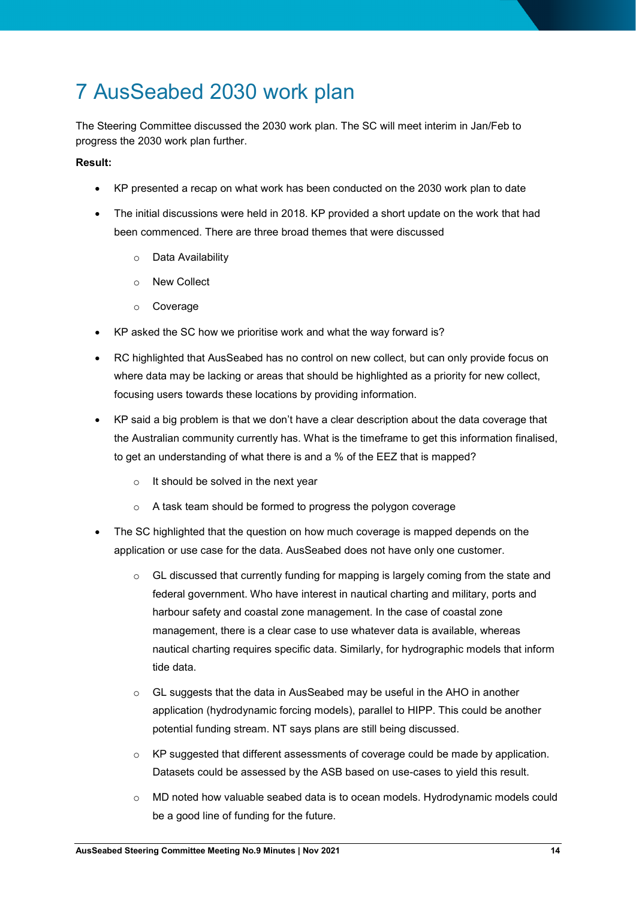## 7 AusSeabed 2030 work plan

The Steering Committee discussed the 2030 work plan. The SC will meet interim in Jan/Feb to progress the 2030 work plan further.

#### **Result:**

- KP presented a recap on what work has been conducted on the 2030 work plan to date
- The initial discussions were held in 2018. KP provided a short update on the work that had been commenced. There are three broad themes that were discussed
	- o Data Availability
	- o New Collect
	- o Coverage
- KP asked the SC how we prioritise work and what the way forward is?
- RC highlighted that AusSeabed has no control on new collect, but can only provide focus on where data may be lacking or areas that should be highlighted as a priority for new collect, focusing users towards these locations by providing information.
- KP said a big problem is that we don't have a clear description about the data coverage that the Australian community currently has. What is the timeframe to get this information finalised, to get an understanding of what there is and a % of the EEZ that is mapped?
	- $\circ$  It should be solved in the next year
	- o A task team should be formed to progress the polygon coverage
- The SC highlighted that the question on how much coverage is mapped depends on the application or use case for the data. AusSeabed does not have only one customer.
	- $\circ$  GL discussed that currently funding for mapping is largely coming from the state and federal government. Who have interest in nautical charting and military, ports and harbour safety and coastal zone management. In the case of coastal zone management, there is a clear case to use whatever data is available, whereas nautical charting requires specific data. Similarly, for hydrographic models that inform tide data.
	- GL suggests that the data in AusSeabed may be useful in the AHO in another application (hydrodynamic forcing models), parallel to HIPP. This could be another potential funding stream. NT says plans are still being discussed.
	- $\circ$  KP suggested that different assessments of coverage could be made by application. Datasets could be assessed by the ASB based on use-cases to yield this result.
	- $\circ$  MD noted how valuable seabed data is to ocean models. Hydrodynamic models could be a good line of funding for the future.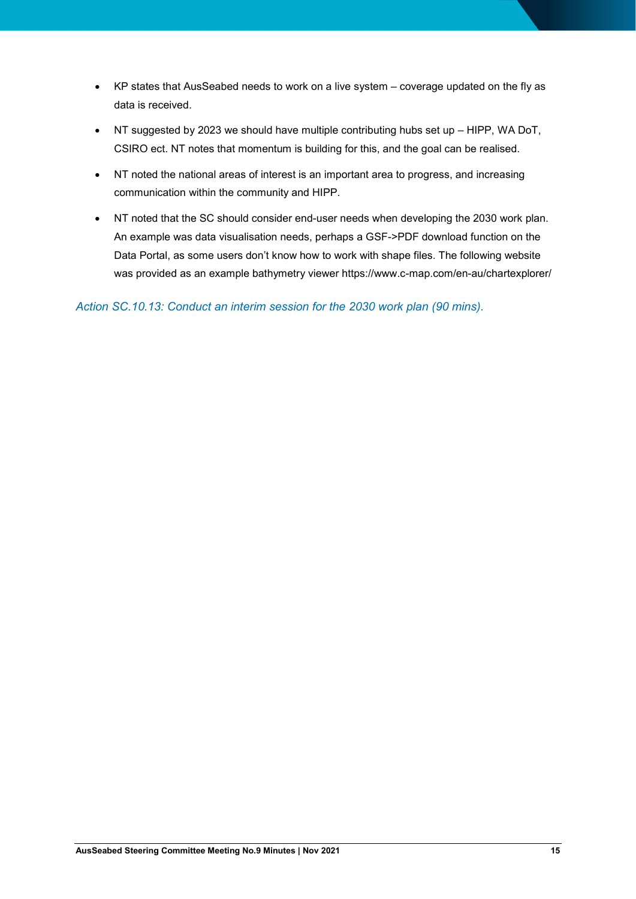- KP states that AusSeabed needs to work on a live system coverage updated on the fly as data is received.
- NT suggested by 2023 we should have multiple contributing hubs set up HIPP, WA DoT, CSIRO ect. NT notes that momentum is building for this, and the goal can be realised.
- NT noted the national areas of interest is an important area to progress, and increasing communication within the community and HIPP.
- NT noted that the SC should consider end-user needs when developing the 2030 work plan. An example was data visualisation needs, perhaps a GSF->PDF download function on the Data Portal, as some users don't know how to work with shape files. The following website was provided as an example bathymetry viewer https://www.c-map.com/en-au/chartexplorer/

*Action SC.10.13: Conduct an interim session for the 2030 work plan (90 mins).*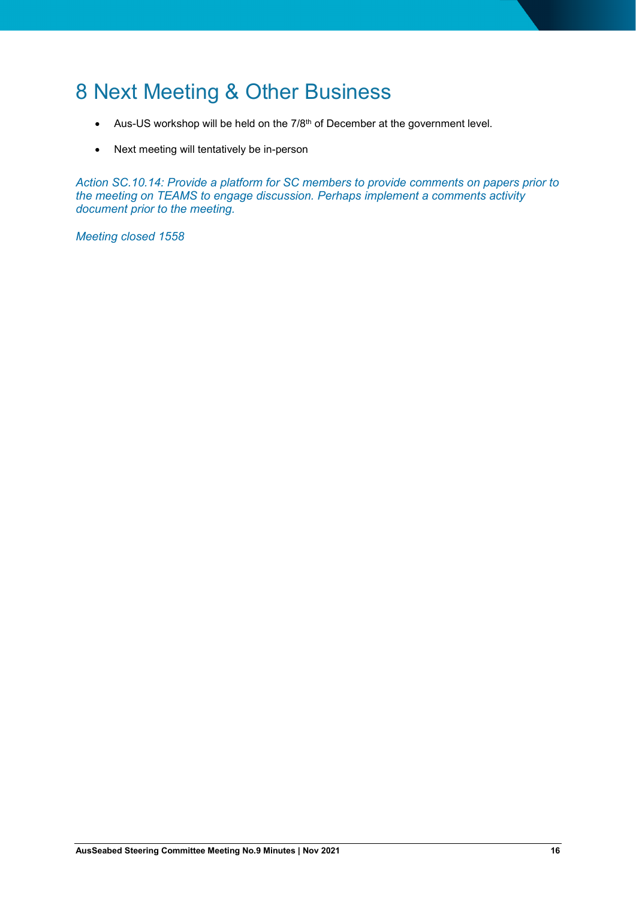## 8 Next Meeting & Other Business

- Aus-US workshop will be held on the 7/8<sup>th</sup> of December at the government level.
- Next meeting will tentatively be in-person

*Action SC.10.14: Provide a platform for SC members to provide comments on papers prior to the meeting on TEAMS to engage discussion. Perhaps implement a comments activity document prior to the meeting.* 

*Meeting closed 1558*